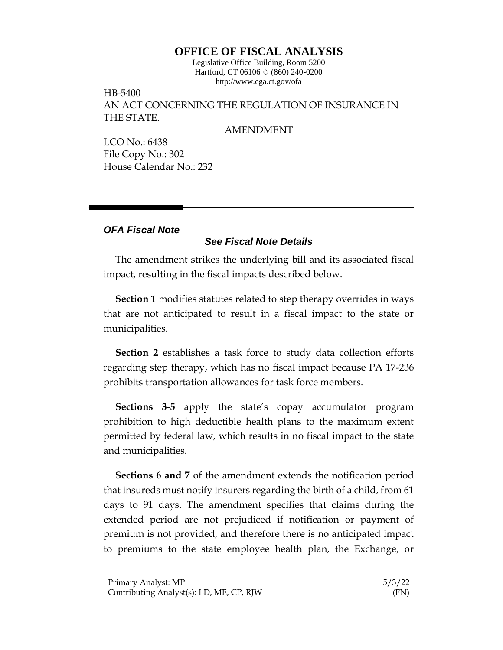## **OFFICE OF FISCAL ANALYSIS**

Legislative Office Building, Room 5200 Hartford, CT 06106  $\Diamond$  (860) 240-0200 http://www.cga.ct.gov/ofa

HB-5400 AN ACT CONCERNING THE REGULATION OF INSURANCE IN THE STATE.

## AMENDMENT

LCO No.: 6438 File Copy No.: 302 House Calendar No.: 232

## *OFA Fiscal Note*

## *See Fiscal Note Details*

The amendment strikes the underlying bill and its associated fiscal impact, resulting in the fiscal impacts described below.

**Section 1** modifies statutes related to step therapy overrides in ways that are not anticipated to result in a fiscal impact to the state or municipalities.

**Section 2** establishes a task force to study data collection efforts regarding step therapy, which has no fiscal impact because PA 17-236 prohibits transportation allowances for task force members.

**Sections 3-5** apply the state's copay accumulator program prohibition to high deductible health plans to the maximum extent permitted by federal law, which results in no fiscal impact to the state and municipalities.

**Sections 6 and 7** of the amendment extends the notification period that insureds must notify insurers regarding the birth of a child, from 61 days to 91 days. The amendment specifies that claims during the extended period are not prejudiced if notification or payment of premium is not provided, and therefore there is no anticipated impact to premiums to the state employee health plan, the Exchange, or